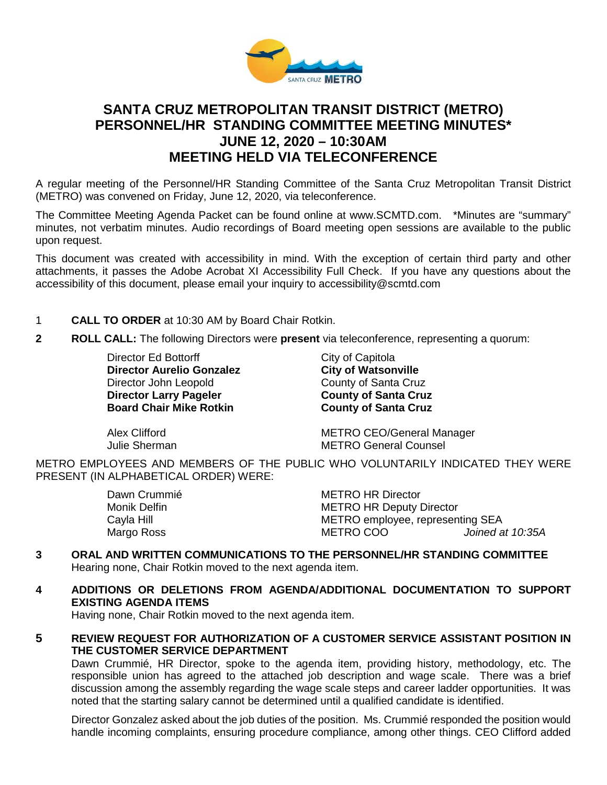

# **SANTA CRUZ METROPOLITAN TRANSIT DISTRICT (METRO) PERSONNEL/HR STANDING COMMITTEE MEETING MINUTES\* JUNE 12, 2020 – 10:30AM MEETING HELD VIA TELECONFERENCE**

A regular meeting of the Personnel/HR Standing Committee of the Santa Cruz Metropolitan Transit District (METRO) was convened on Friday, June 12, 2020, via teleconference.

The Committee Meeting Agenda Packet can be found online at www.SCMTD.com. \*Minutes are "summary" minutes, not verbatim minutes. Audio recordings of Board meeting open sessions are available to the public upon request.

This document was created with accessibility in mind. With the exception of certain third party and other attachments, it passes the Adobe Acrobat XI Accessibility Full Check. If you have any questions about the accessibility of this document, please email your inquiry to accessibility@scmtd.com

- 1 **CALL TO ORDER** at 10:30 AM by Board Chair Rotkin.
- **2 ROLL CALL:** The following Directors were **present** via teleconference, representing a quorum:

Director Ed Bottorff City of Capitola **Director Aurelio Gonzalez City of Watsonville**  Director John Leopold County of Santa Cruz **Director Larry Pageler County of Santa Cruz** 

**Board County of Santa Cruz** 

Alex Clifford **METRO CEO/General Manager** Julie Sherman METRO General Counsel

METRO EMPLOYEES AND MEMBERS OF THE PUBLIC WHO VOLUNTARILY INDICATED THEY WERE PRESENT (IN ALPHABETICAL ORDER) WERE:

| <b>METRO HR Director</b>         |                  |
|----------------------------------|------------------|
| <b>METRO HR Deputy Director</b>  |                  |
| METRO employee, representing SEA |                  |
| METRO COO                        | Joined at 10:35A |
|                                  |                  |

**3 ORAL AND WRITTEN COMMUNICATIONS TO THE PERSONNEL/HR STANDING COMMITTEE** Hearing none, Chair Rotkin moved to the next agenda item.

## **4 ADDITIONS OR DELETIONS FROM AGENDA/ADDITIONAL DOCUMENTATION TO SUPPORT EXISTING AGENDA ITEMS**

Having none, Chair Rotkin moved to the next agenda item.

**5 REVIEW REQUEST FOR AUTHORIZATION OF A CUSTOMER SERVICE ASSISTANT POSITION IN THE CUSTOMER SERVICE DEPARTMENT**

Dawn Crummié, HR Director, spoke to the agenda item, providing history, methodology, etc. The responsible union has agreed to the attached job description and wage scale. There was a brief discussion among the assembly regarding the wage scale steps and career ladder opportunities. It was noted that the starting salary cannot be determined until a qualified candidate is identified.

Director Gonzalez asked about the job duties of the position. Ms. Crummié responded the position would handle incoming complaints, ensuring procedure compliance, among other things. CEO Clifford added